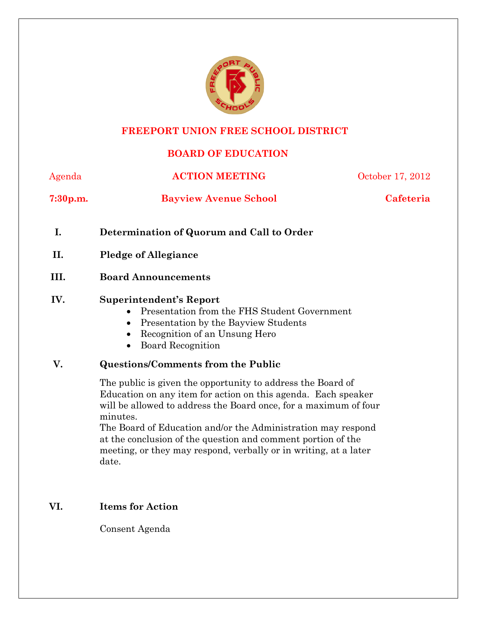

# **FREEPORT UNION FREE SCHOOL DISTRICT**

# **BOARD OF EDUCATION**

| Agenda               | <b>ACTION MEETING</b>        | October 17, 2012 |  |
|----------------------|------------------------------|------------------|--|
| 7:30 <sub>p.m.</sub> | <b>Bayview Avenue School</b> | Cafeteria        |  |

- **I. Determination of Quorum and Call to Order**
- **II. Pledge of Allegiance**

# **III. Board Announcements**

#### **IV. Superintendent's Report**

- Presentation from the FHS Student Government
- Presentation by the Bayview Students
- Recognition of an Unsung Hero
- Board Recognition

# **V. Questions/Comments from the Public**

The public is given the opportunity to address the Board of Education on any item for action on this agenda. Each speaker will be allowed to address the Board once, for a maximum of four minutes.

The Board of Education and/or the Administration may respond at the conclusion of the question and comment portion of the meeting, or they may respond, verbally or in writing, at a later date.

# **VI. Items for Action**

Consent Agenda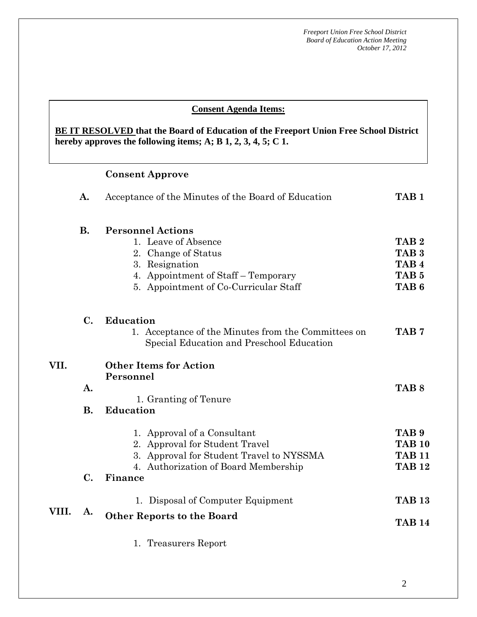#### **AA. Consent - Approve Consent Agenda Items:**

hereby approves the following items; A; B  $1, 2, 3, 4, 5$ ; C  $1$ . **BE IT RESOLVED that the Board of Education of the Freeport Union Free School District** 

### **Consent Approve**

|       | A.        | Acceptance of the Minutes of the Board of Education                                              | TAB <sub>1</sub>                     |
|-------|-----------|--------------------------------------------------------------------------------------------------|--------------------------------------|
|       | <b>B.</b> | <b>Personnel Actions</b><br>1. Leave of Absence<br>2. Change of Status                           | TAB <sub>2</sub><br>TAB <sub>3</sub> |
|       |           | 3. Resignation                                                                                   | TAB <sub>4</sub>                     |
|       |           | 4. Appointment of Staff – Temporary                                                              | TAB <sub>5</sub>                     |
|       |           | 5. Appointment of Co-Curricular Staff                                                            | TAB <sub>6</sub>                     |
|       | C.        | <b>Education</b>                                                                                 |                                      |
|       |           | 1. Acceptance of the Minutes from the Committees on<br>Special Education and Preschool Education | TAB <sub>7</sub>                     |
| VII.  |           | <b>Other Items for Action</b>                                                                    |                                      |
|       | A.        | Personnel                                                                                        | TAB <sub>8</sub>                     |
|       |           | 1. Granting of Tenure                                                                            |                                      |
|       | <b>B.</b> | <b>Education</b>                                                                                 |                                      |
|       |           | 1. Approval of a Consultant                                                                      | TAB <sub>9</sub>                     |
|       |           | 2. Approval for Student Travel                                                                   | <b>TAB 10</b>                        |
|       |           | 3. Approval for Student Travel to NYSSMA<br>4. Authorization of Board Membership                 | <b>TAB 11</b><br><b>TAB 12</b>       |
|       | C.        | Finance                                                                                          |                                      |
|       |           | 1. Disposal of Computer Equipment                                                                | <b>TAB 13</b>                        |
| VIII. | A.        | <b>Other Reports to the Board</b>                                                                | <b>TAB 14</b>                        |
|       |           | 1. Treasurers Report                                                                             |                                      |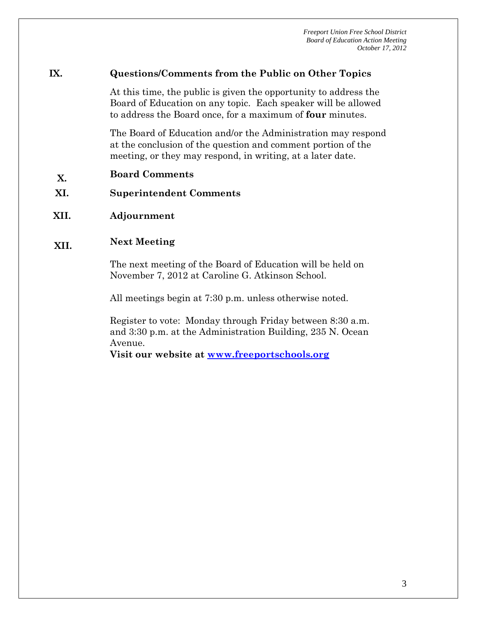#### **IX. Questions/Comments from the Public on Other Topics**

At this time, the public is given the opportunity to address the Board of Education on any topic. Each speaker will be allowed to address the Board once, for a maximum of **four** minutes.

The Board of Education and/or the Administration may respond at the conclusion of the question and comment portion of the meeting, or they may respond, in writing, at a later date.

- **X. Board Comments**
- **XI. Superintendent Comments**
- **XII. Adjournment**

# **XII. Next Meeting**

The next meeting of the Board of Education will be held on November 7, 2012 at Caroline G. Atkinson School.

All meetings begin at 7:30 p.m. unless otherwise noted.

Register to vote: Monday through Friday between 8:30 a.m. and 3:30 p.m. at the Administration Building, 235 N. Ocean Avenue.

**Visit our website at www.freeportschools.org**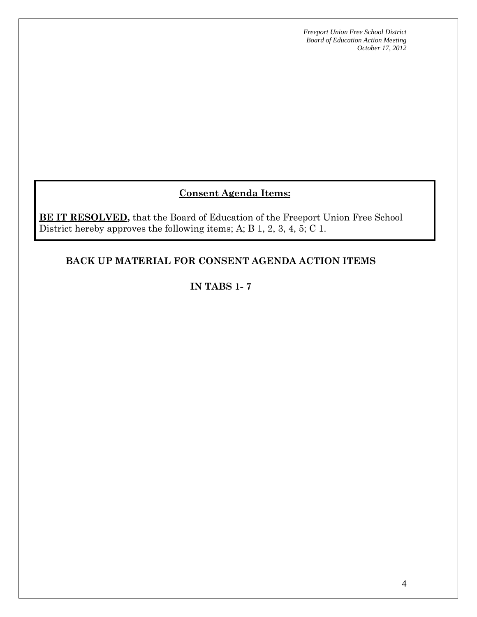# **Consent Agenda Items:**

**BE IT RESOLVED**, that the Board of Education of the Freeport Union Free School District hereby approves the following items; A; B 1, 2, 3, 4, 5; C 1.

# **BACK UP MATERIAL FOR CONSENT AGENDA ACTION ITEMS**

# **IN TABS 1- 7**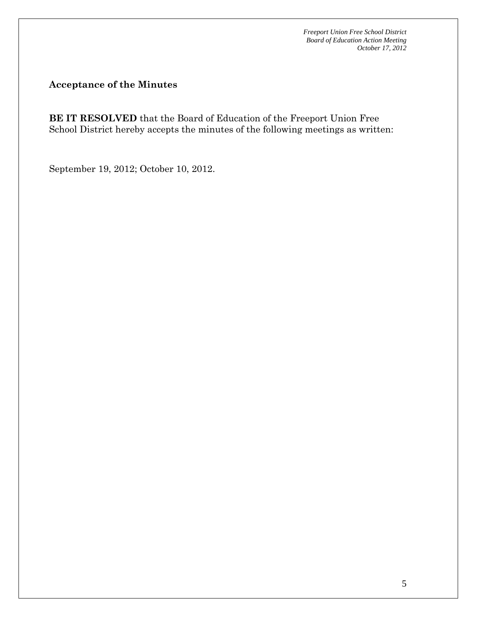**Acceptance of the Minutes** 

**BE IT RESOLVED** that the Board of Education of the Freeport Union Free School District hereby accepts the minutes of the following meetings as written:

September 19, 2012; October 10, 2012.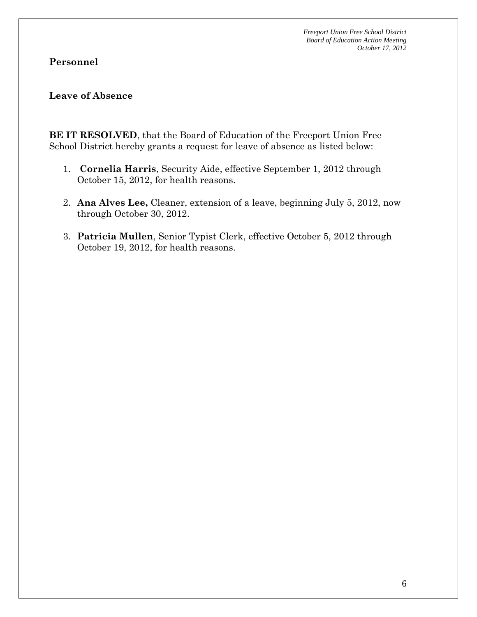# **Personnel**

#### **Leave of Absence**

**BE IT RESOLVED**, that the Board of Education of the Freeport Union Free School District hereby grants a request for leave of absence as listed below:

- 1. **Cornelia Harris**, Security Aide, effective September 1, 2012 through October 15, 2012, for health reasons.
- 2. **Ana Alves Lee,** Cleaner, extension of a leave, beginning July 5, 2012, now through October 30, 2012.
- 3. **Patricia Mullen**, Senior Typist Clerk, effective October 5, 2012 through October 19, 2012, for health reasons.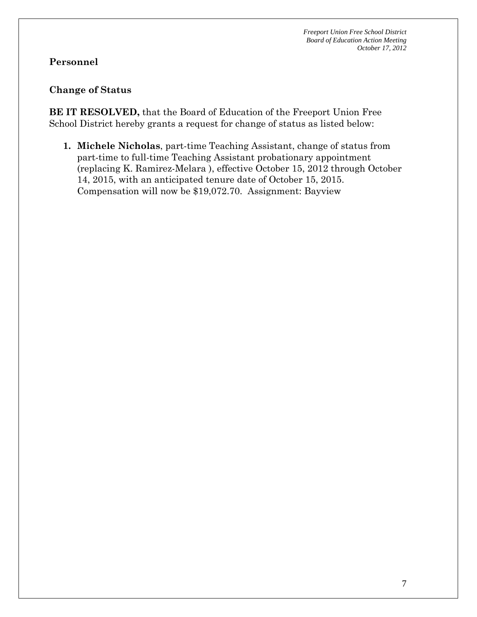# **Personnel**

#### **Change of Status**

**BE IT RESOLVED,** that the Board of Education of the Freeport Union Free School District hereby grants a request for change of status as listed below:

**1. Michele Nicholas**, part-time Teaching Assistant, change of status from part-time to full-time Teaching Assistant probationary appointment (replacing K. Ramirez-Melara ), effective October 15, 2012 through October 14, 2015, with an anticipated tenure date of October 15, 2015. Compensation will now be \$19,072.70. Assignment: Bayview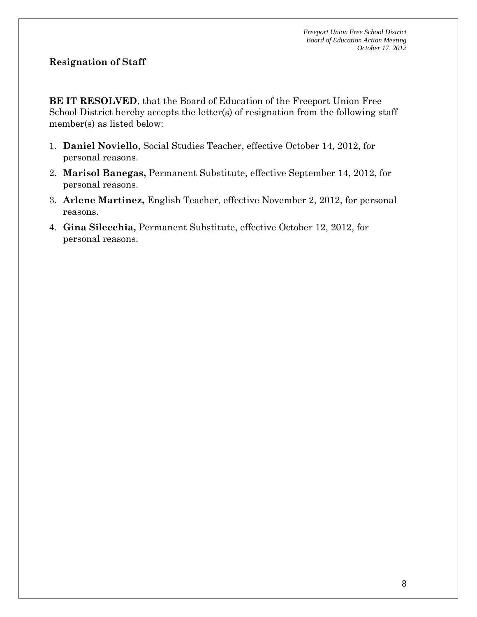# **Resignation of Staff**

**BE IT RESOLVED**, that the Board of Education of the Freeport Union Free School District hereby accepts the letter(s) of resignation from the following staff member(s) as listed below:

- 1. **Daniel Noviello**, Social Studies Teacher, effective October 14, 2012, for personal reasons.
- 2. **Marisol Banegas,** Permanent Substitute, effective September 14, 2012, for personal reasons.
- 3. **Arlene Martinez,** English Teacher, effective November 2, 2012, for personal reasons.
- 4. **Gina Silecchia,** Permanent Substitute, effective October 12, 2012, for personal reasons.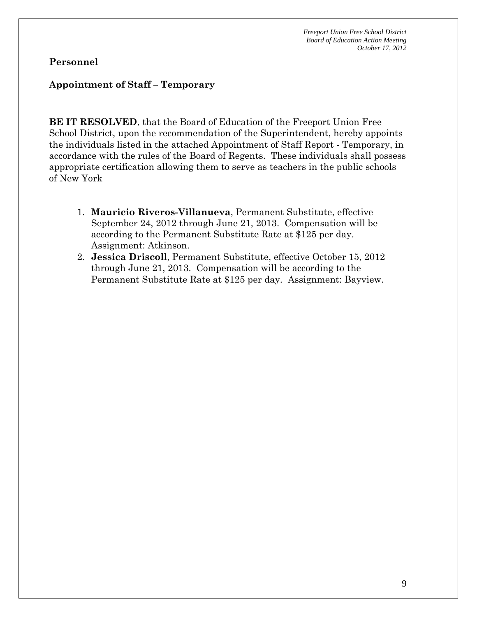#### **Personnel**

#### **Appointment of Staff – Temporary**

**BE IT RESOLVED**, that the Board of Education of the Freeport Union Free School District, upon the recommendation of the Superintendent, hereby appoints the individuals listed in the attached Appointment of Staff Report - Temporary, in accordance with the rules of the Board of Regents. These individuals shall possess appropriate certification allowing them to serve as teachers in the public schools of New York

- 1. **Mauricio Riveros-Villanueva**, Permanent Substitute, effective September 24, 2012 through June 21, 2013. Compensation will be according to the Permanent Substitute Rate at \$125 per day. Assignment: Atkinson.
- 2. **Jessica Driscoll**, Permanent Substitute, effective October 15, 2012 through June 21, 2013. Compensation will be according to the Permanent Substitute Rate at \$125 per day. Assignment: Bayview.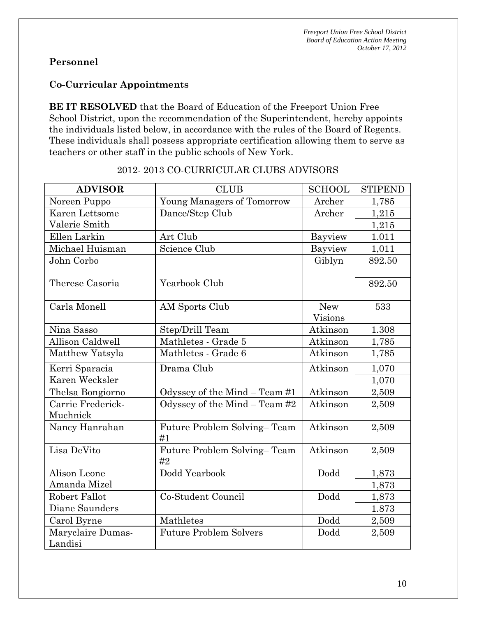# **Personnel**

# **Co-Curricular Appointments**

**BE IT RESOLVED** that the Board of Education of the Freeport Union Free School District, upon the recommendation of the Superintendent, hereby appoints the individuals listed below, in accordance with the rules of the Board of Regents. These individuals shall possess appropriate certification allowing them to serve as teachers or other staff in the public schools of New York.

| <b>ADVISOR</b>                | <b>CLUB</b>                       | <b>SCHOOL</b>                | <b>STIPEND</b> |
|-------------------------------|-----------------------------------|------------------------------|----------------|
| Noreen Puppo                  | <b>Young Managers of Tomorrow</b> | Archer                       | 1,785          |
| Karen Lettsome                | Dance/Step Club                   | Archer                       | 1,215          |
| Valerie Smith                 |                                   |                              | 1,215          |
| Ellen Larkin                  | Art Club                          | Bayview                      | 1.011          |
| Michael Huisman               | Science Club                      | Bayview                      | 1,011          |
| John Corbo                    |                                   | Giblyn                       | 892.50         |
| Therese Casoria               | Yearbook Club                     |                              | 892.50         |
| Carla Monell                  | AM Sports Club                    | <b>New</b><br><b>Visions</b> | 533            |
| Nina Sasso                    | Step/Drill Team                   | Atkinson                     | 1.308          |
| Allison Caldwell              | Mathletes - Grade 5               | Atkinson                     | 1,785          |
| Matthew Yatsyla               | Mathletes - Grade 6               | Atkinson                     | 1,785          |
| Kerri Sparacia                | Drama Club                        | Atkinson                     | 1,070          |
| Karen Wecksler                |                                   |                              | 1,070          |
| Thelsa Bongiorno              | Odyssey of the Mind - Team #1     | Atkinson                     | 2,509          |
| Carrie Frederick-<br>Muchnick | Odyssey of the Mind $-$ Team #2   | Atkinson                     | 2,509          |
| Nancy Hanrahan                | Future Problem Solving-Team<br>#1 | Atkinson                     | 2,509          |
| Lisa DeVito                   | Future Problem Solving-Team<br>#2 | Atkinson                     | 2,509          |
| Alison Leone                  | Dodd Yearbook                     | Dodd                         | 1,873          |
| Amanda Mizel                  |                                   |                              | 1,873          |
| Robert Fallot                 | Co-Student Council                | Dodd                         | 1,873          |
| Diane Saunders                |                                   |                              | 1.873          |
| Carol Byrne                   | Mathletes                         | Dodd                         | 2,509          |
| Maryclaire Dumas-             | <b>Future Problem Solvers</b>     | Dodd                         | 2,509          |
| Landisi                       |                                   |                              |                |

#### 2012- 2013 CO-CURRICULAR CLUBS ADVISORS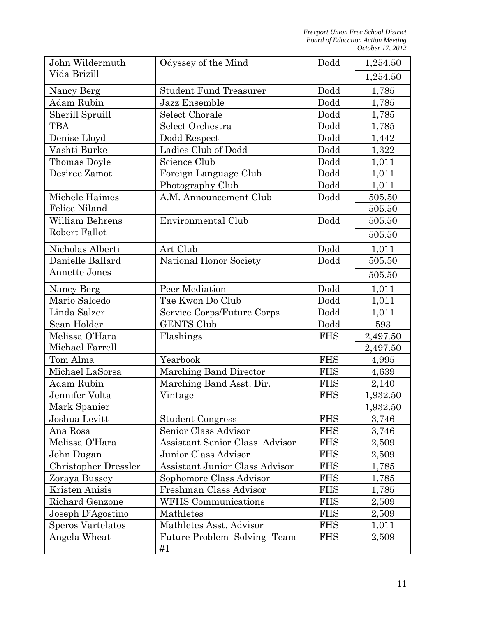| John Wildermuth          | Odyssey of the Mind                |            | 1,254.50 |
|--------------------------|------------------------------------|------------|----------|
| Vida Brizill             |                                    |            | 1,254.50 |
| Nancy Berg               | <b>Student Fund Treasurer</b>      | Dodd       | 1,785    |
| Adam Rubin               | Jazz Ensemble                      | Dodd       | 1,785    |
| Sherill Spruill          | Select Chorale                     | Dodd       | 1,785    |
| <b>TBA</b>               | Select Orchestra                   | Dodd       | 1,785    |
| Denise Lloyd             | Dodd Respect                       | Dodd       | 1,442    |
| Vashti Burke             | Ladies Club of Dodd                | Dodd       | 1,322    |
| Thomas Doyle             | Science Club                       | Dodd       | 1,011    |
| Desiree Zamot            | Foreign Language Club              | Dodd       | 1,011    |
|                          | Photography Club                   | Dodd       | 1,011    |
| Michele Haimes           | A.M. Announcement Club             | Dodd       | 505.50   |
| Felice Niland            |                                    |            | 505.50   |
| <b>William Behrens</b>   | Environmental Club                 | Dodd       | 505.50   |
| Robert Fallot            |                                    |            | 505.50   |
| Nicholas Alberti         | Art Club                           | Dodd       | 1,011    |
| Danielle Ballard         | National Honor Society             | Dodd       | 505.50   |
| <b>Annette Jones</b>     |                                    |            | 505.50   |
| Nancy Berg               | Peer Mediation                     | Dodd       | 1,011    |
| Mario Salcedo            | Tae Kwon Do Club                   | Dodd       | 1,011    |
| Linda Salzer             | Service Corps/Future Corps         | Dodd       | 1,011    |
| Sean Holder              | <b>GENTS Club</b>                  | Dodd       | 593      |
| Melissa O'Hara           | Flashings                          | <b>FHS</b> | 2,497.50 |
| Michael Farrell          |                                    |            | 2,497.50 |
| Tom Alma                 | Yearbook                           | <b>FHS</b> | 4,995    |
| Michael LaSorsa          | Marching Band Director             | <b>FHS</b> | 4,639    |
| <b>Adam Rubin</b>        | Marching Band Asst. Dir.           | <b>FHS</b> | 2,140    |
| Jennifer Volta           | Vintage                            | <b>FHS</b> | 1,932.50 |
| Mark Spanier             |                                    |            | 1,932.50 |
| Joshua Levitt            | <b>Student Congress</b>            | <b>FHS</b> | 3,746    |
| Ana Rosa                 | Senior Class Advisor               | <b>FHS</b> | 3,746    |
| Melissa O'Hara           | Assistant Senior Class Advisor     | <b>FHS</b> | 2,509    |
| John Dugan               | Junior Class Advisor               | <b>FHS</b> | 2,509    |
| Christopher Dressler     | Assistant Junior Class Advisor     | <b>FHS</b> | 1,785    |
| Zoraya Bussey            | Sophomore Class Advisor            | <b>FHS</b> | 1,785    |
| Kristen Anisis           | Freshman Class Advisor             | <b>FHS</b> | 1,785    |
| Richard Genzone          | <b>WFHS</b> Communications         | <b>FHS</b> | 2,509    |
| Joseph D'Agostino        | Mathletes                          | <b>FHS</b> | 2,509    |
| <b>Speros Vartelatos</b> | Mathletes Asst. Advisor            | <b>FHS</b> | 1.011    |
| Angela Wheat             | Future Problem Solving -Team<br>#1 | <b>FHS</b> | 2,509    |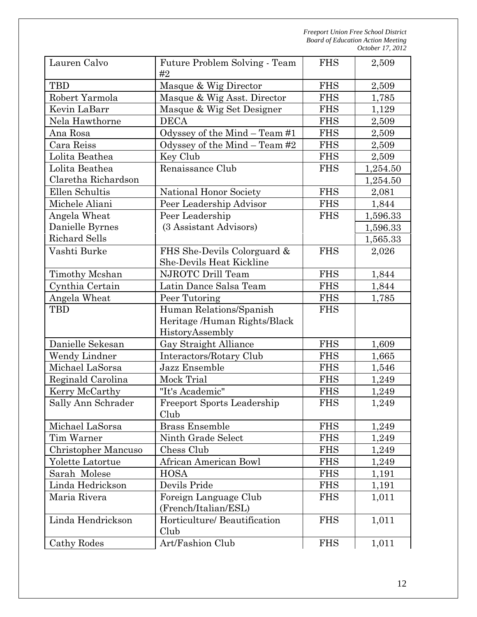| Lauren Calvo                        | Future Problem Solving - Team<br>#2 | <b>FHS</b>               | 2,509    |
|-------------------------------------|-------------------------------------|--------------------------|----------|
| <b>TBD</b><br>Masque & Wig Director |                                     | <b>FHS</b>               | 2,509    |
| Robert Yarmola                      | Masque & Wig Asst. Director         |                          | 1,785    |
| Kevin LaBarr                        | Masque & Wig Set Designer           |                          | 1,129    |
| Nela Hawthorne                      | <b>DECA</b>                         | <b>FHS</b><br><b>FHS</b> | 2,509    |
| Ana Rosa                            | Odyssey of the Mind - Team #1       | <b>FHS</b>               | 2,509    |
| Cara Reiss                          | Odyssey of the Mind $-$ Team #2     | <b>FHS</b>               | 2,509    |
| Lolita Beathea                      | Key Club                            | <b>FHS</b>               | 2,509    |
| Lolita Beathea                      | Renaissance Club                    | <b>FHS</b>               | 1,254.50 |
| Claretha Richardson                 |                                     |                          | 1,254.50 |
| Ellen Schultis                      | National Honor Society              | <b>FHS</b>               | 2,081    |
| Michele Aliani                      | Peer Leadership Advisor             | <b>FHS</b>               | 1,844    |
| Angela Wheat                        | Peer Leadership                     | <b>FHS</b>               | 1,596.33 |
| Danielle Byrnes                     | (3 Assistant Advisors)              |                          | 1,596.33 |
| <b>Richard Sells</b>                |                                     |                          | 1,565.33 |
| Vashti Burke                        | FHS She-Devils Colorguard &         | <b>FHS</b>               | 2,026    |
|                                     | She-Devils Heat Kickline            |                          |          |
| Timothy Mcshan                      | NJROTC Drill Team                   | <b>FHS</b>               | 1,844    |
| Cynthia Certain                     | Latin Dance Salsa Team              | <b>FHS</b>               | 1,844    |
| Angela Wheat                        | Peer Tutoring                       | <b>FHS</b>               | 1,785    |
| TBD                                 | Human Relations/Spanish             | <b>FHS</b>               |          |
|                                     | Heritage /Human Rights/Black        |                          |          |
|                                     | HistoryAssembly                     |                          |          |
| Danielle Sekesan                    | Gay Straight Alliance               | <b>FHS</b>               | 1,609    |
| Wendy Lindner                       | Interactors/Rotary Club             | <b>FHS</b>               | 1,665    |
| Michael LaSorsa                     | Jazz Ensemble                       | <b>FHS</b>               | 1,546    |
| Reginald Carolina                   | Mock Trial                          | <b>FHS</b>               | 1,249    |
| Kerry McCarthy                      | "It's Academic"                     | <b>FHS</b>               | 1,249    |
| Sally Ann Schrader                  | <b>Freeport Sports Leadership</b>   | <b>FHS</b>               | 1,249    |
|                                     | Club                                |                          |          |
| Michael LaSorsa                     | <b>Brass Ensemble</b>               | <b>FHS</b>               | 1,249    |
| Tim Warner                          | Ninth Grade Select                  | <b>FHS</b>               | 1,249    |
| Christopher Mancuso                 | Chess Club                          | <b>FHS</b>               | 1,249    |
| Yolette Latortue                    | African American Bowl               | <b>FHS</b>               | 1,249    |
| Sarah Molese                        | <b>HOSA</b>                         | <b>FHS</b>               | 1,191    |
| Linda Hedrickson                    | Devils Pride                        | <b>FHS</b>               | 1,191    |
| Maria Rivera                        | Foreign Language Club               | <b>FHS</b>               | 1,011    |
|                                     | (French/Italian/ESL)                |                          |          |
| Linda Hendrickson                   | Horticulture/ Beautification        | <b>FHS</b>               | 1,011    |
|                                     | Club                                |                          |          |
| Cathy Rodes                         | Art/Fashion Club                    | <b>FHS</b>               | 1,011    |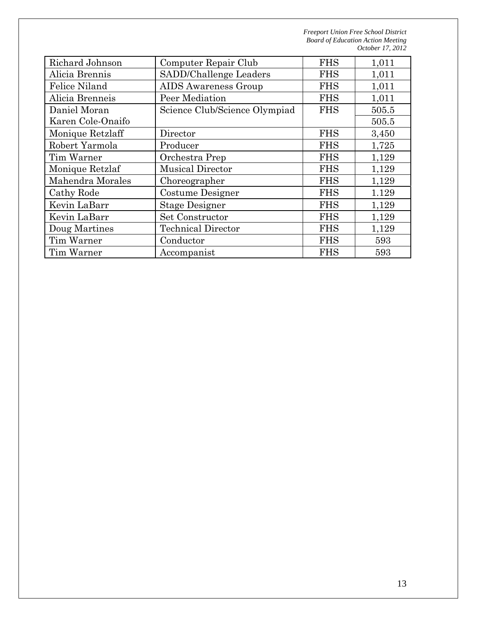| Richard Johnson                   | Computer Repair Club          | <b>FHS</b> | 1,011 |
|-----------------------------------|-------------------------------|------------|-------|
| Alicia Brennis                    | SADD/Challenge Leaders        | <b>FHS</b> | 1,011 |
| <b>Felice Niland</b>              | <b>AIDS</b> Awareness Group   | <b>FHS</b> | 1,011 |
| Alicia Brenneis                   | Peer Mediation                | <b>FHS</b> | 1,011 |
| Daniel Moran                      | Science Club/Science Olympiad | <b>FHS</b> | 505.5 |
| Karen Cole-Onaifo                 |                               |            | 505.5 |
| Monique Retzlaff                  | Director                      | <b>FHS</b> | 3,450 |
| Robert Yarmola                    | Producer                      | <b>FHS</b> | 1,725 |
| Tim Warner                        | Orchestra Prep                | <b>FHS</b> | 1,129 |
| Monique Retzlaf                   | <b>Musical Director</b>       | <b>FHS</b> | 1,129 |
| Mahendra Morales<br>Choreographer |                               | <b>FHS</b> | 1,129 |
| Cathy Rode                        | Costume Designer              | <b>FHS</b> | 1.129 |
| Kevin LaBarr                      | <b>Stage Designer</b>         | <b>FHS</b> | 1,129 |
| Kevin LaBarr                      | Set Constructor               | <b>FHS</b> | 1,129 |
| Doug Martines                     | <b>Technical Director</b>     | <b>FHS</b> | 1,129 |
| Tim Warner                        | Conductor                     | <b>FHS</b> | 593   |
| Tim Warner                        | Accompanist                   | <b>FHS</b> | 593   |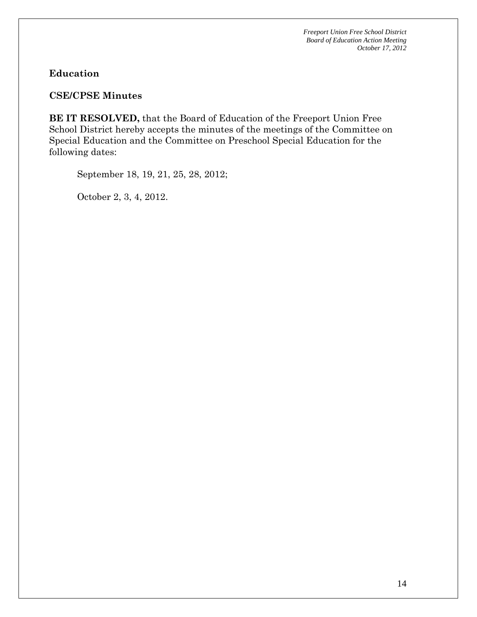### **Education**

#### **CSE/CPSE Minutes**

**BE IT RESOLVED,** that the Board of Education of the Freeport Union Free School District hereby accepts the minutes of the meetings of the Committee on Special Education and the Committee on Preschool Special Education for the following dates:

September 18, 19, 21, 25, 28, 2012;

October 2, 3, 4, 2012.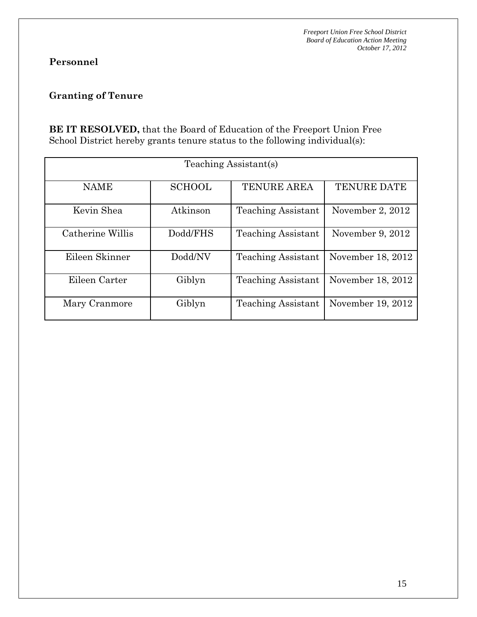# **Personnel**

# **Granting of Tenure**

**BE IT RESOLVED,** that the Board of Education of the Freeport Union Free School District hereby grants tenure status to the following individual(s):

| Teaching Assistant(s) |               |                           |                   |  |  |
|-----------------------|---------------|---------------------------|-------------------|--|--|
| <b>NAME</b>           | <b>SCHOOL</b> | <b>TENURE AREA</b>        | TENURE DATE       |  |  |
| Kevin Shea            | Atkinson      | <b>Teaching Assistant</b> | November 2, 2012  |  |  |
| Catherine Willis      | Dodd/FHS      | <b>Teaching Assistant</b> | November 9, 2012  |  |  |
| Eileen Skinner        | Dodd/NV       | <b>Teaching Assistant</b> | November 18, 2012 |  |  |
| Eileen Carter         | Giblyn        | <b>Teaching Assistant</b> | November 18, 2012 |  |  |
| Mary Cranmore         | Giblyn        | <b>Teaching Assistant</b> | November 19, 2012 |  |  |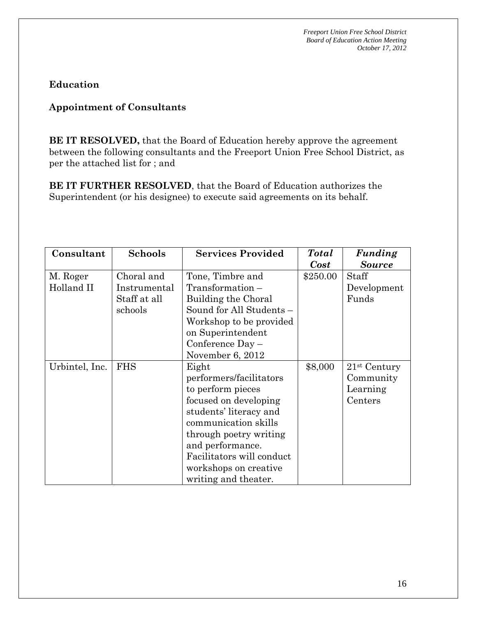**Education** 

### **Appointment of Consultants**

**BE IT RESOLVED,** that the Board of Education hereby approve the agreement between the following consultants and the Freeport Union Free School District, as per the attached list for ; and

**BE IT FURTHER RESOLVED**, that the Board of Education authorizes the Superintendent (or his designee) to execute said agreements on its behalf.

| Consultant             | <b>Schools</b>             | <b>Services Provided</b>                                                                                                                                                                                                                                     | <b>Total</b><br><b>Cost</b> | Funding<br><b>Source</b>                           |
|------------------------|----------------------------|--------------------------------------------------------------------------------------------------------------------------------------------------------------------------------------------------------------------------------------------------------------|-----------------------------|----------------------------------------------------|
| M. Roger<br>Holland II | Choral and<br>Instrumental | Tone, Timbre and<br>$Transformation -$                                                                                                                                                                                                                       | \$250.00                    | Staff                                              |
|                        | Staff at all               | Building the Choral                                                                                                                                                                                                                                          |                             | Development<br>Funds                               |
|                        | schools                    | Sound for All Students -<br>Workshop to be provided                                                                                                                                                                                                          |                             |                                                    |
|                        |                            | on Superintendent                                                                                                                                                                                                                                            |                             |                                                    |
|                        |                            | Conference $Day -$<br>November 6, 2012                                                                                                                                                                                                                       |                             |                                                    |
| Urbintel, Inc.         | <b>FHS</b>                 | Eight<br>performers/facilitators<br>to perform pieces<br>focused on developing<br>students' literacy and<br>communication skills<br>through poetry writing<br>and performance.<br>Facilitators will conduct<br>workshops on creative<br>writing and theater. | \$8,000                     | $21st$ Century<br>Community<br>Learning<br>Centers |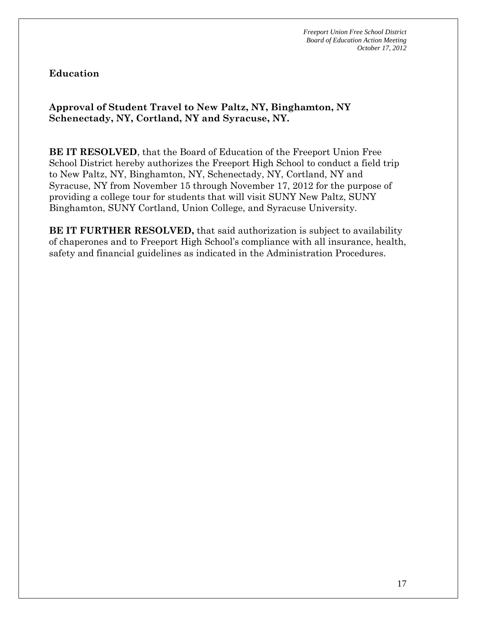#### **Education**

# **Approval of Student Travel to New Paltz, NY, Binghamton, NY Schenectady, NY, Cortland, NY and Syracuse, NY.**

**BE IT RESOLVED**, that the Board of Education of the Freeport Union Free School District hereby authorizes the Freeport High School to conduct a field trip to New Paltz, NY, Binghamton, NY, Schenectady, NY, Cortland, NY and Syracuse, NY from November 15 through November 17, 2012 for the purpose of providing a college tour for students that will visit SUNY New Paltz, SUNY Binghamton, SUNY Cortland, Union College, and Syracuse University.

**BE IT FURTHER RESOLVED,** that said authorization is subject to availability of chaperones and to Freeport High School's compliance with all insurance, health, safety and financial guidelines as indicated in the Administration Procedures.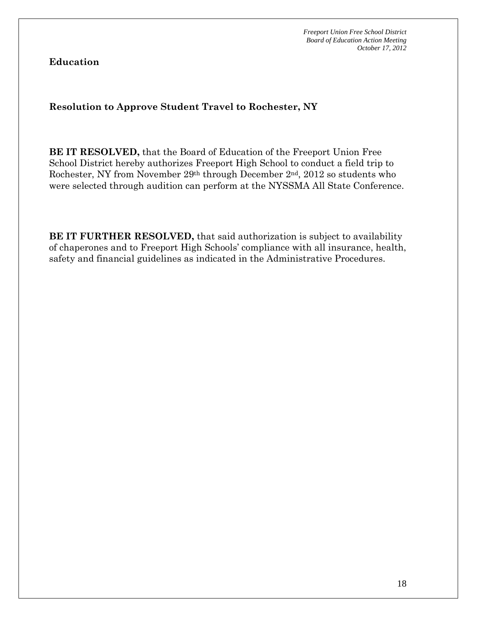**Education** 

# **Resolution to Approve Student Travel to Rochester, NY**

**BE IT RESOLVED,** that the Board of Education of the Freeport Union Free School District hereby authorizes Freeport High School to conduct a field trip to Rochester, NY from November 29th through December 2nd, 2012 so students who were selected through audition can perform at the NYSSMA All State Conference.

**BE IT FURTHER RESOLVED,** that said authorization is subject to availability of chaperones and to Freeport High Schools' compliance with all insurance, health, safety and financial guidelines as indicated in the Administrative Procedures.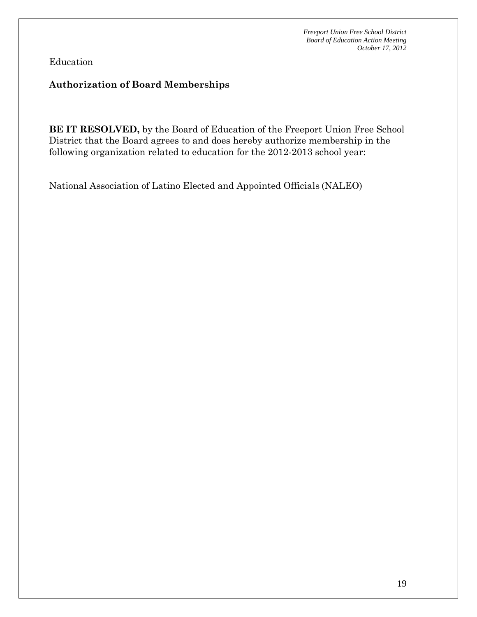Education

#### **Authorization of Board Memberships**

**BE IT RESOLVED,** by the Board of Education of the Freeport Union Free School District that the Board agrees to and does hereby authorize membership in the following organization related to education for the 2012-2013 school year:

National Association of Latino Elected and Appointed Officials (NALEO)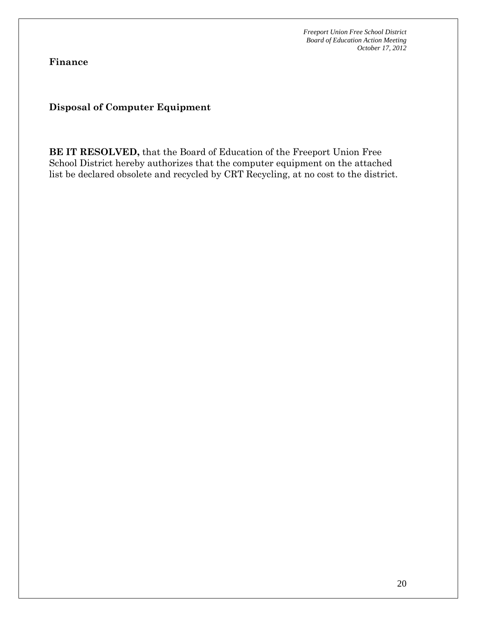**Finance** 

**Disposal of Computer Equipment** 

**BE IT RESOLVED,** that the Board of Education of the Freeport Union Free School District hereby authorizes that the computer equipment on the attached list be declared obsolete and recycled by CRT Recycling, at no cost to the district.